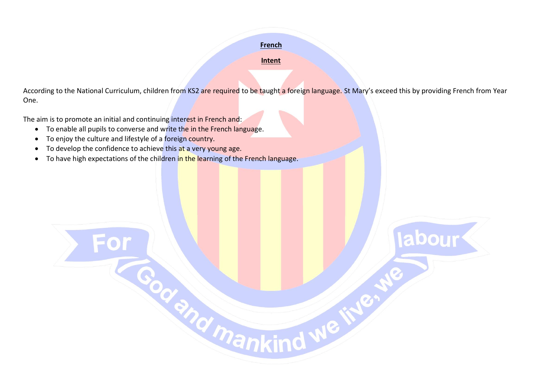## **French**

## **Intent**

According to the National Curriculum, children from KS2 are required to be taught a foreign language. St Mary's exceed this by providing French from Year One.

**abour** 

The aim is to promote an initial and continuing interest in French and:

- To enable all pupils to converse and write the in the French language.
- To enjoy the culture and lifestyle of a foreign country.
- To develop the confidence to achieve this at a very young age.
- To have high expectations of the children in the learning of the French language.

For Codenal mankind we'll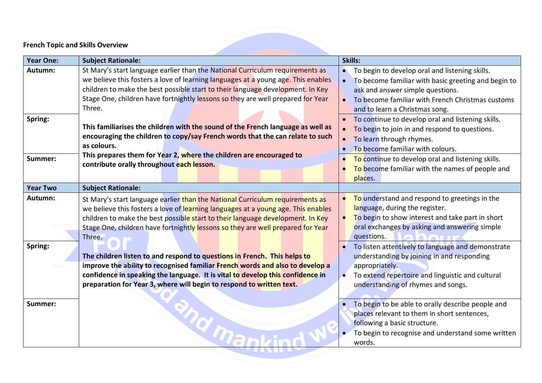## **French Topic and Skills Overview**

| <b>Year One:</b>   | <b>Subject Rationale:</b>                                                                                                                                                                                                                                                                                                                         | Skills:                                                                                                                                                                                                                                                                    |
|--------------------|---------------------------------------------------------------------------------------------------------------------------------------------------------------------------------------------------------------------------------------------------------------------------------------------------------------------------------------------------|----------------------------------------------------------------------------------------------------------------------------------------------------------------------------------------------------------------------------------------------------------------------------|
| Autumn:            | St Mary's start language earlier than the National Curriculum requirements as<br>we believe this fosters a love of learning languages at a young age. This enables<br>children to make the best possible start to their language development. In Key<br>Stage One, children have fortnightly lessons so they are well prepared for Year<br>Three. | To begin to develop oral and listening skills.<br>To become familiar with basic greeting and begin to<br>ask and answer simple questions.<br>To become familiar with French Christmas customs<br>and to learn a Christmas song.                                            |
| Spring:<br>Summer: | This familiarises the children with the sound of the French language as well as<br>encouraging the children to copy/say French words that the can relate to such<br>as colours.<br>This prepares them for Year 2, where the children are encouraged to<br>contribute orally throughout each lesson.                                               | To continue to develop oral and listening skills.<br>To begin to join in and respond to questions.<br>To learn through rhymes.<br>To become familiar with colours.<br>To continue to develop oral and listening skills.<br>To become familiar with the names of people and |
| <b>Year Two</b>    | <b>Subject Rationale:</b>                                                                                                                                                                                                                                                                                                                         | places.                                                                                                                                                                                                                                                                    |
| Autumn:            | St Mary's start language earlier than the National Curriculum requirements as<br>we believe this fosters a love of learning languages at a young age. This enables<br>children to make the best possible start to their language development. In Key<br>Stage One, children have fortnightly lessons so they are well prepared for Year<br>Three. | To understand and respond to greetings in the<br>language, during the register.<br>To begin to show interest and take part in short<br>oral exchanges by asking and answering simple<br>questions.<br><b>CONTRACTOR</b>                                                    |
| Spring:            | The children listen to and respond to questions in French. This helps to<br>improve the ability to recognised familiar French words and also to develop a<br>confidence in speaking the language. It is vital to develop this confidence in<br>preparation for Year 3, where will begin to respond to written text.                               | To listen attentively to language and demonstrate<br>understanding by joining in and responding<br>appropriately.<br>To extend repertoire and linguistic and cultural<br>$\bullet$<br>understanding of rhymes and songs.                                                   |
| Summer:            |                                                                                                                                                                                                                                                                                                                                                   | To begin to be able to orally describe people and<br>places relevant to them in short sentences,<br>following a basic structure.<br>To begin to recognise and understand some written<br>words.                                                                            |

 $\sim$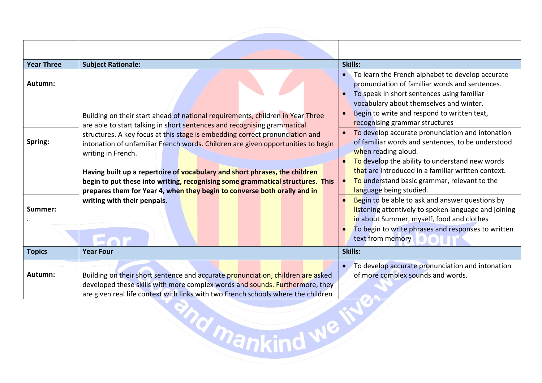| <b>Year Three</b> | <b>Subject Rationale:</b>                                                                                                                                                                                                                            | Skills:                                                                                                                                                                                                                                                                                     |
|-------------------|------------------------------------------------------------------------------------------------------------------------------------------------------------------------------------------------------------------------------------------------------|---------------------------------------------------------------------------------------------------------------------------------------------------------------------------------------------------------------------------------------------------------------------------------------------|
| Autumn:           | Building on their start ahead of national requirements, children in Year Three<br>are able to start talking in short sentences and recognising grammatical                                                                                           | • To learn the French alphabet to develop accurate<br>pronunciation of familiar words and sentences.<br>To speak in short sentences using familiar<br>$\bullet$<br>vocabulary about themselves and winter.<br>Begin to write and respond to written text,<br>recognising grammar structures |
| Spring:           | structures. A key focus at this stage is embedding correct pronunciation and<br>intonation of unfamiliar French words. Children are given opportunities to begin<br>writing in French.                                                               | To develop accurate pronunciation and intonation<br>of familiar words and sentences, to be understood<br>when reading aloud.<br>To develop the ability to understand new words<br>that are introduced in a familiar written context.                                                        |
|                   | Having built up a repertoire of vocabulary and short phrases, the children<br>begin to put these into writing, recognising some grammatical structures. This<br>prepares them for Year 4, when they begin to converse both orally and in             | To understand basic grammar, relevant to the<br>$\bullet$<br>language being studied.                                                                                                                                                                                                        |
| Summer:           | writing with their penpals.                                                                                                                                                                                                                          | Begin to be able to ask and answer questions by<br>listening attentively to spoken language and joining<br>in about Summer, myself, food and clothes<br>To begin to write phrases and responses to written<br>text from memory                                                              |
| <b>Topics</b>     | <b>Year Four</b>                                                                                                                                                                                                                                     | Skills:                                                                                                                                                                                                                                                                                     |
| Autumn:           | Building on their short sentence and accurate pronunciation, children are asked<br>developed these skills with more complex words and sounds. Furthermore, they<br>are given real life context with links with two French schools where the children | To develop accurate pronunciation and intonation<br>of more complex sounds and words.                                                                                                                                                                                                       |
|                   | <b>Pankind WB</b>                                                                                                                                                                                                                                    |                                                                                                                                                                                                                                                                                             |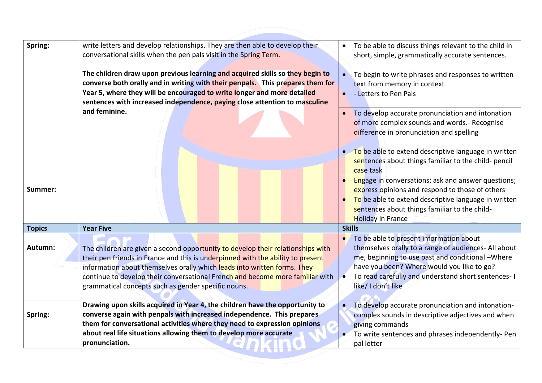| Spring:       | write letters and develop relationships. They are then able to develop their<br>conversational skills when the pen pals visit in the Spring Term.<br>The children draw upon previous learning and acquired skills so they begin to<br>converse both orally and in writing with their penpals. This prepares them for<br>Year 5, where they will be encouraged to write longer and more detailed<br>sentences with increased independence, paying close attention to masculine | To be able to discuss things relevant to the child in<br>$\bullet$<br>short, simple, grammatically accurate sentences.<br>To begin to write phrases and responses to written<br>text from memory in context<br>- Letters to Pen Pals<br>$\bullet$                                                       |
|---------------|-------------------------------------------------------------------------------------------------------------------------------------------------------------------------------------------------------------------------------------------------------------------------------------------------------------------------------------------------------------------------------------------------------------------------------------------------------------------------------|---------------------------------------------------------------------------------------------------------------------------------------------------------------------------------------------------------------------------------------------------------------------------------------------------------|
|               | and feminine.                                                                                                                                                                                                                                                                                                                                                                                                                                                                 | To develop accurate pronunciation and intonation<br>of more complex sounds and words.- Recognise<br>difference in pronunciation and spelling<br>To be able to extend descriptive language in written<br>sentences about things familiar to the child- pencil<br>case task                               |
| Summer:       |                                                                                                                                                                                                                                                                                                                                                                                                                                                                               | Engage in conversations; ask and answer questions;<br>express opinions and respond to those of others<br>To be able to extend descriptive language in written<br>sentences about things familiar to the child-<br><b>Holiday in France</b>                                                              |
| <b>Topics</b> | <b>Year Five</b>                                                                                                                                                                                                                                                                                                                                                                                                                                                              | <b>Skills</b>                                                                                                                                                                                                                                                                                           |
| Autumn:       | The children are given a second opportunity to develop their relationships with<br>their pen friends in France and this is underpinned with the ability to present<br>information about themselves orally which leads into written forms. They<br>continue to develop their conversational French and become more familiar with<br>grammatical concepts such as gender specific nouns.                                                                                        | To be able to present information about<br>$\bullet$<br>themselves orally to a range of audiences- All about<br>me, beginning to use past and conditional -Where<br>have you been? Where would you like to go?<br>To read carefully and understand short sentences-1<br>$\bullet$<br>like/ I don't like |
| Spring:       | Drawing upon skills acquired in Year 4, the children have the opportunity to<br>converse again with penpals with increased independence. This prepares<br>them for conversational activities where they need to expression opinions<br>about real life situations allowing them to develop more accurate<br>pronunciation.                                                                                                                                                    | To develop accurate pronunciation and intonation-<br>$\bullet$<br>complex sounds in descriptive adjectives and when<br>giving commands<br>To write sentences and phrases independently-Pen<br>$\bullet$<br>pal letter                                                                                   |